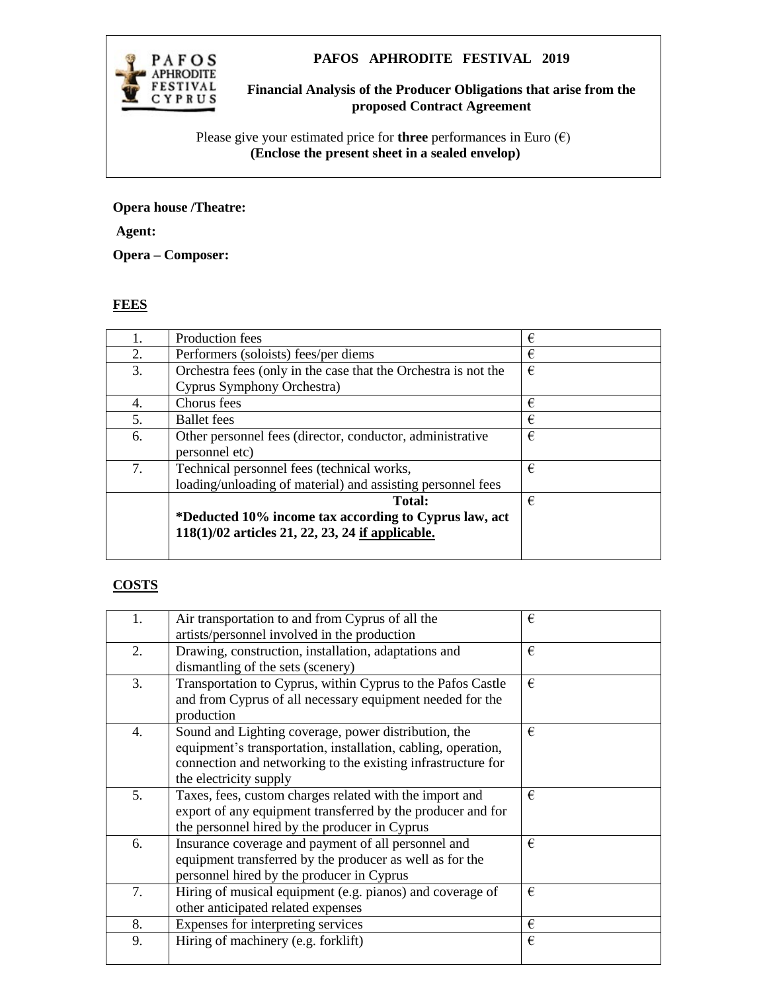

## **PAFOS APHRODITE FESTIVAL 2019**

**Financial Analysis of the Producer Obligations that arise from the proposed Contract Agreement**

Please give your estimated price for **three** performances in Euro  $(\epsilon)$  **(Enclose the present sheet in a sealed envelop)**

## **Opera house /Theatre:**

**Agent:**

**Opera – Composer:**

## **FEES**

| 1. | Production fees                                                | € |
|----|----------------------------------------------------------------|---|
| 2. | Performers (soloists) fees/per diems                           | € |
| 3. | Orchestra fees (only in the case that the Orchestra is not the | € |
|    | Cyprus Symphony Orchestra)                                     |   |
| 4. | Chorus fees                                                    | € |
| 5. | <b>Ballet</b> fees                                             | € |
| 6. | Other personnel fees (director, conductor, administrative      | € |
|    | personnel etc)                                                 |   |
| 7. | Technical personnel fees (technical works,                     | € |
|    | loading/unloading of material) and assisting personnel fees    |   |
|    | Total:                                                         | € |
|    | *Deducted 10% income tax according to Cyprus law, act          |   |
|    | $118(1)/02$ articles 21, 22, 23, 24 if applicable.             |   |
|    |                                                                |   |

## **COSTS**

| 1. | Air transportation to and from Cyprus of all the<br>artists/personnel involved in the production                                                                                                                | € |
|----|-----------------------------------------------------------------------------------------------------------------------------------------------------------------------------------------------------------------|---|
| 2. | Drawing, construction, installation, adaptations and<br>dismantling of the sets (scenery)                                                                                                                       | € |
| 3. | Transportation to Cyprus, within Cyprus to the Pafos Castle<br>and from Cyprus of all necessary equipment needed for the<br>production                                                                          | € |
| 4. | Sound and Lighting coverage, power distribution, the<br>equipment's transportation, installation, cabling, operation,<br>connection and networking to the existing infrastructure for<br>the electricity supply | € |
| 5. | Taxes, fees, custom charges related with the import and<br>export of any equipment transferred by the producer and for<br>the personnel hired by the producer in Cyprus                                         | € |
| 6. | Insurance coverage and payment of all personnel and<br>equipment transferred by the producer as well as for the<br>personnel hired by the producer in Cyprus                                                    | € |
| 7. | Hiring of musical equipment (e.g. pianos) and coverage of<br>other anticipated related expenses                                                                                                                 | € |
| 8. | Expenses for interpreting services                                                                                                                                                                              | € |
| 9. | Hiring of machinery (e.g. forklift)                                                                                                                                                                             | € |